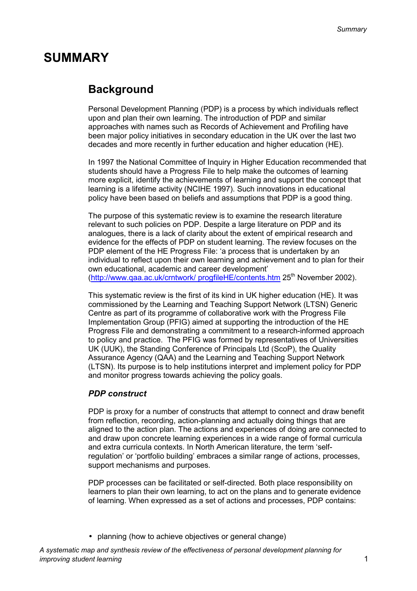# **SUMMARY**

## **Background**

Personal Development Planning (PDP) is a process by which individuals reflect upon and plan their own learning. The introduction of PDP and similar approaches with names such as Records of Achievement and Profiling have been major policy initiatives in secondary education in the UK over the last two decades and more recently in further education and higher education (HE).

In 1997 the National Committee of Inquiry in Higher Education recommended that students should have a Progress File to help make the outcomes of learning more explicit, identify the achievements of learning and support the concept that learning is a lifetime activity (NCIHE 1997). Such innovations in educational policy have been based on beliefs and assumptions that PDP is a good thing.

The purpose of this systematic review is to examine the research literature relevant to such policies on PDP. Despite a large literature on PDP and its analogues, there is a lack of clarity about the extent of empirical research and evidence for the effects of PDP on student learning. The review focuses on the PDP element of the HE Progress File: 'a process that is undertaken by an individual to reflect upon their own learning and achievement and to plan for their own educational, academic and career development' (http://www.gaa.ac.uk/crntwork/ progfileHE/contents.htm 25<sup>th</sup> November 2002).

This systematic review is the first of its kind in UK higher education (HE). It was commissioned by the Learning and Teaching Support Network (LTSN) Generic Centre as part of its programme of collaborative work with the Progress File Implementation Group (PFIG) aimed at supporting the introduction of the HE Progress File and demonstrating a commitment to a research-informed approach to policy and practice. The PFIG was formed by representatives of Universities UK (UUK), the Standing Conference of Principals Ltd (ScoP), the Quality Assurance Agency (QAA) and the Learning and Teaching Support Network (LTSN). Its purpose is to help institutions interpret and implement policy for PDP and monitor progress towards achieving the policy goals.

### *PDP construct*

PDP is proxy for a number of constructs that attempt to connect and draw benefit from reflection, recording, action-planning and actually doing things that are aligned to the action plan. The actions and experiences of doing are connected to and draw upon concrete learning experiences in a wide range of formal curricula and extra curricula contexts. In North American literature, the term 'selfregulation' or 'portfolio building' embraces a similar range of actions, processes, support mechanisms and purposes.

PDP processes can be facilitated or self-directed. Both place responsibility on learners to plan their own learning, to act on the plans and to generate evidence of learning. When expressed as a set of actions and processes, PDP contains:

• planning (how to achieve objectives or general change)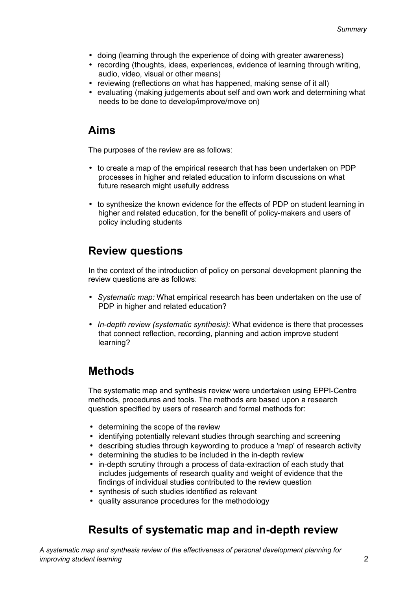- doing (learning through the experience of doing with greater awareness)
- recording (thoughts, ideas, experiences, evidence of learning through writing, audio, video, visual or other means)
- reviewing (reflections on what has happened, making sense of it all)
- evaluating (making judgements about self and own work and determining what needs to be done to develop/improve/move on)

### **Aims**

The purposes of the review are as follows:

- to create a map of the empirical research that has been undertaken on PDP processes in higher and related education to inform discussions on what future research might usefully address
- to synthesize the known evidence for the effects of PDP on student learning in higher and related education, for the benefit of policy-makers and users of policy including students

## **Review questions**

In the context of the introduction of policy on personal development planning the review questions are as follows:

- *Systematic map:* What empirical research has been undertaken on the use of PDP in higher and related education?
- *In-depth review (systematic synthesis):* What evidence is there that processes that connect reflection, recording, planning and action improve student learning?

## **Methods**

The systematic map and synthesis review were undertaken using EPPI-Centre methods, procedures and tools. The methods are based upon a research question specified by users of research and formal methods for:

- determining the scope of the review
- identifying potentially relevant studies through searching and screening
- describing studies through keywording to produce a 'map' of research activity
- determining the studies to be included in the in-depth review
- in-depth scrutiny through a process of data-extraction of each study that includes judgements of research quality and weight of evidence that the findings of individual studies contributed to the review question
- synthesis of such studies identified as relevant
- quality assurance procedures for the methodology

## **Results of systematic map and in-depth review**

*A systematic map and synthesis review of the effectiveness of personal development planning for improving student learning* 2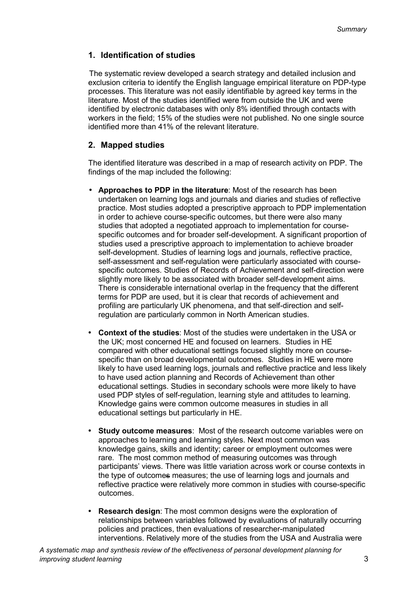### **1. Identification of studies**

The systematic review developed a search strategy and detailed inclusion and exclusion criteria to identify the English language empirical literature on PDP-type processes. This literature was not easily identifiable by agreed key terms in the literature. Most of the studies identified were from outside the UK and were identified by electronic databases with only 8% identified through contacts with workers in the field; 15% of the studies were not published. No one single source identified more than 41% of the relevant literature.

### **2. Mapped studies**

The identified literature was described in a map of research activity on PDP. The findings of the map included the following:

- **Approaches to PDP in the literature**: Most of the research has been undertaken on learning logs and journals and diaries and studies of reflective practice. Most studies adopted a prescriptive approach to PDP implementation in order to achieve course-specific outcomes, but there were also many studies that adopted a negotiated approach to implementation for coursespecific outcomes and for broader self-development. A significant proportion of studies used a prescriptive approach to implementation to achieve broader self-development. Studies of learning logs and journals, reflective practice, self-assessment and self-regulation were particularly associated with coursespecific outcomes. Studies of Records of Achievement and self-direction were slightly more likely to be associated with broader self-development aims. There is considerable international overlap in the frequency that the different terms for PDP are used, but it is clear that records of achievement and profiling are particularly UK phenomena, and that self-direction and selfregulation are particularly common in North American studies.
- **Context of the studies**: Most of the studies were undertaken in the USA or the UK; most concerned HE and focused on learners. Studies in HE compared with other educational settings focused slightly more on coursespecific than on broad developmental outcomes. Studies in HE were more likely to have used learning logs, journals and reflective practice and less likely to have used action planning and Records of Achievement than other educational settings. Studies in secondary schools were more likely to have used PDP styles of self-regulation, learning style and attitudes to learning. Knowledge gains were common outcome measures in studies in all educational settings but particularly in HE.
- **Study outcome measures**: Most of the research outcome variables were on approaches to learning and learning styles. Next most common was knowledge gains, skills and identity; career or employment outcomes were rare. The most common method of measuring outcomes was through participants' views. There was little variation across work or course contexts in the type of outcomes measures; the use of learning logs and journals and reflective practice were relatively more common in studies with course-specific outcomes.
- **Research design**: The most common designs were the exploration of relationships between variables followed by evaluations of naturally occurring policies and practices, then evaluations of researcher-manipulated interventions. Relatively more of the studies from the USA and Australia were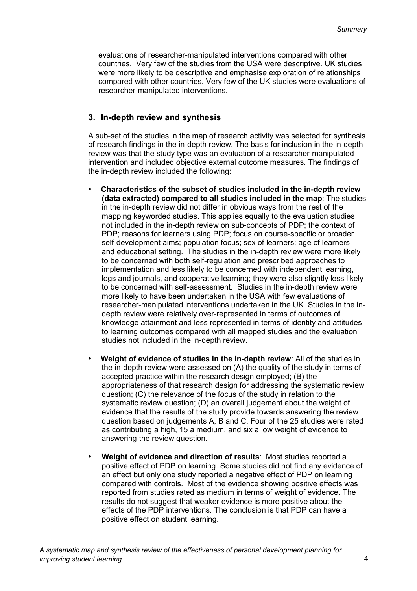evaluations of researcher-manipulated interventions compared with other countries. Very few of the studies from the USA were descriptive. UK studies were more likely to be descriptive and emphasise exploration of relationships compared with other countries. Very few of the UK studies were evaluations of researcher-manipulated interventions.

### **3. In-depth review and synthesis**

A sub-set of the studies in the map of research activity was selected for synthesis of research findings in the in-depth review. The basis for inclusion in the in-depth review was that the study type was an evaluation of a researcher-manipulated intervention and included objective external outcome measures. The findings of the in-depth review included the following:

- **Characteristics of the subset of studies included in the in-depth review (data extracted) compared to all studies included in the map**: The studies in the in-depth review did not differ in obvious ways from the rest of the mapping keyworded studies. This applies equally to the evaluation studies not included in the in-depth review on sub-concepts of PDP; the context of PDP; reasons for learners using PDP; focus on course-specific or broader self-development aims; population focus; sex of learners; age of learners; and educational setting. The studies in the in-depth review were more likely to be concerned with both self-regulation and prescribed approaches to implementation and less likely to be concerned with independent learning, logs and journals, and cooperative learning; they were also slightly less likely to be concerned with self-assessment. Studies in the in-depth review were more likely to have been undertaken in the USA with few evaluations of researcher-manipulated interventions undertaken in the UK. Studies in the indepth review were relatively over-represented in terms of outcomes of knowledge attainment and less represented in terms of identity and attitudes to learning outcomes compared with all mapped studies and the evaluation studies not included in the in-depth review.
- **Weight of evidence of studies in the in-depth review**: All of the studies in the in-depth review were assessed on (A) the quality of the study in terms of accepted practice within the research design employed; (B) the appropriateness of that research design for addressing the systematic review question; (C) the relevance of the focus of the study in relation to the systematic review question; (D) an overall judgement about the weight of evidence that the results of the study provide towards answering the review question based on judgements A, B and C. Four of the 25 studies were rated as contributing a high, 15 a medium, and six a low weight of evidence to answering the review question.
- **Weight of evidence and direction of results**: Most studies reported a positive effect of PDP on learning. Some studies did not find any evidence of an effect but only one study reported a negative effect of PDP on learning compared with controls. Most of the evidence showing positive effects was reported from studies rated as medium in terms of weight of evidence. The results do not suggest that weaker evidence is more positive about the effects of the PDP interventions. The conclusion is that PDP can have a positive effect on student learning.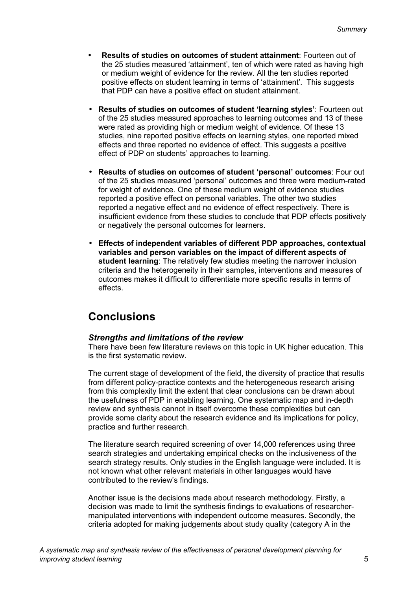- **Results of studies on outcomes of student attainment**: Fourteen out of the 25 studies measured 'attainment', ten of which were rated as having high or medium weight of evidence for the review. All the ten studies reported positive effects on student learning in terms of 'attainment'. This suggests that PDP can have a positive effect on student attainment.
- **Results of studies on outcomes of student 'learning styles'**: Fourteen out of the 25 studies measured approaches to learning outcomes and 13 of these were rated as providing high or medium weight of evidence. Of these 13 studies, nine reported positive effects on learning styles, one reported mixed effects and three reported no evidence of effect. This suggests a positive effect of PDP on students' approaches to learning.
- **Results of studies on outcomes of student 'personal' outcomes**: Four out of the 25 studies measured 'personal' outcomes and three were medium-rated for weight of evidence. One of these medium weight of evidence studies reported a positive effect on personal variables. The other two studies reported a negative effect and no evidence of effect respectively. There is insufficient evidence from these studies to conclude that PDP effects positively or negatively the personal outcomes for learners.
- **Effects of independent variables of different PDP approaches, contextual variables and person variables on the impact of different aspects of student learning**: The relatively few studies meeting the narrower inclusion criteria and the heterogeneity in their samples, interventions and measures of outcomes makes it difficult to differentiate more specific results in terms of effects.

## **Conclusions**

### *Strengths and limitations of the review*

There have been few literature reviews on this topic in UK higher education. This is the first systematic review.

The current stage of development of the field, the diversity of practice that results from different policy-practice contexts and the heterogeneous research arising from this complexity limit the extent that clear conclusions can be drawn about the usefulness of PDP in enabling learning. One systematic map and in-depth review and synthesis cannot in itself overcome these complexities but can provide some clarity about the research evidence and its implications for policy, practice and further research.

The literature search required screening of over 14,000 references using three search strategies and undertaking empirical checks on the inclusiveness of the search strategy results. Only studies in the English language were included. It is not known what other relevant materials in other languages would have contributed to the review's findings.

Another issue is the decisions made about research methodology. Firstly, a decision was made to limit the synthesis findings to evaluations of researchermanipulated interventions with independent outcome measures. Secondly, the criteria adopted for making judgements about study quality (category A in the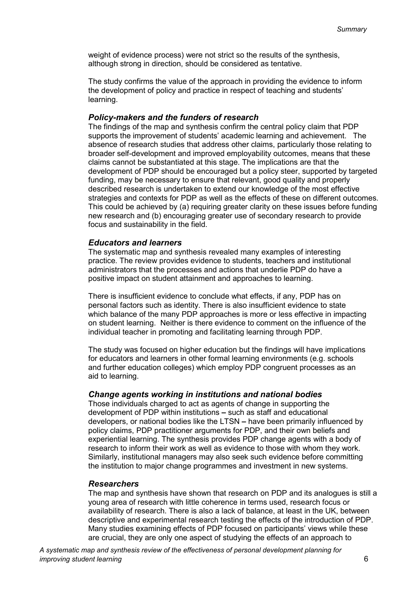weight of evidence process) were not strict so the results of the synthesis, although strong in direction, should be considered as tentative.

The study confirms the value of the approach in providing the evidence to inform the development of policy and practice in respect of teaching and students' learning.

### *Policy-makers and the funders of research*

The findings of the map and synthesis confirm the central policy claim that PDP supports the improvement of students' academic learning and achievement. The absence of research studies that address other claims, particularly those relating to broader self-development and improved employability outcomes, means that these claims cannot be substantiated at this stage. The implications are that the development of PDP should be encouraged but a policy steer, supported by targeted funding, may be necessary to ensure that relevant, good quality and properly described research is undertaken to extend our knowledge of the most effective strategies and contexts for PDP as well as the effects of these on different outcomes. This could be achieved by (a) requiring greater clarity on these issues before funding new research and (b) encouraging greater use of secondary research to provide focus and sustainability in the field.

#### *Educators and learners*

The systematic map and synthesis revealed many examples of interesting practice. The review provides evidence to students, teachers and institutional administrators that the processes and actions that underlie PDP do have a positive impact on student attainment and approaches to learning.

There is insufficient evidence to conclude what effects, if any, PDP has on personal factors such as identity. There is also insufficient evidence to state which balance of the many PDP approaches is more or less effective in impacting on student learning. Neither is there evidence to comment on the influence of the individual teacher in promoting and facilitating learning through PDP.

The study was focused on higher education but the findings will have implications for educators and learners in other formal learning environments (e.g. schools and further education colleges) which employ PDP congruent processes as an aid to learning.

#### *Change agents working in institutions and national bodies*

Those individuals charged to act as agents of change in supporting the development of PDP within institutions **–** such as staff and educational developers, or national bodies like the LTSN **–** have been primarily influenced by policy claims, PDP practitioner arguments for PDP, and their own beliefs and experiential learning. The synthesis provides PDP change agents with a body of research to inform their work as well as evidence to those with whom they work. Similarly, institutional managers may also seek such evidence before committing the institution to major change programmes and investment in new systems.

#### *Researchers*

The map and synthesis have shown that research on PDP and its analogues is still a young area of research with little coherence in terms used, research focus or availability of research. There is also a lack of balance, at least in the UK, between descriptive and experimental research testing the effects of the introduction of PDP. Many studies examining effects of PDP focused on participants' views while these are crucial, they are only one aspect of studying the effects of an approach to